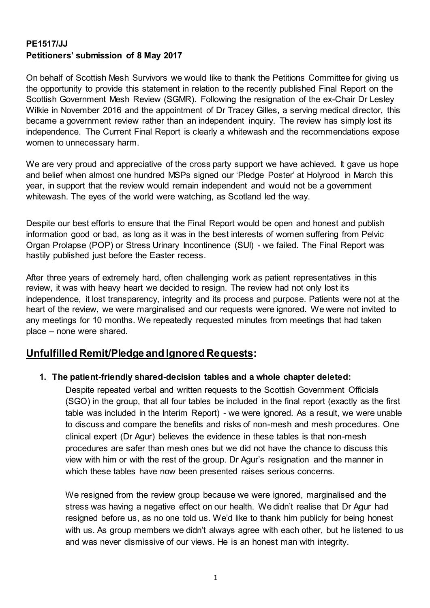### **PE1517/JJ Petitioners' submission of 8 May 2017**

On behalf of Scottish Mesh Survivors we would like to thank the Petitions Committee for giving us the opportunity to provide this statement in relation to the recently published Final Report on the Scottish Government Mesh Review (SGMR). Following the resignation of the ex-Chair Dr Lesley Wilkie in November 2016 and the appointment of Dr Tracey Gilles, a serving medical director, this became a government review rather than an independent inquiry. The review has simply lost its independence. The Current Final Report is clearly a whitewash and the recommendations expose women to unnecessary harm.

We are very proud and appreciative of the cross party support we have achieved. It gave us hope and belief when almost one hundred MSPs signed our 'Pledge Poster' at Holyrood in March this year, in support that the review would remain independent and would not be a government whitewash. The eyes of the world were watching, as Scotland led the way.

Despite our best efforts to ensure that the Final Report would be open and honest and publish information good or bad, as long as it was in the best interests of women suffering from Pelvic Organ Prolapse (POP) or Stress Urinary Incontinence (SUI) - we failed. The Final Report was hastily published just before the Easter recess.

After three years of extremely hard, often challenging work as patient representatives in this review, it was with heavy heart we decided to resign. The review had not only lost its independence, it lost transparency, integrity and its process and purpose. Patients were not at the heart of the review, we were marginalised and our requests were ignored. We were not invited to any meetings for 10 months. We repeatedly requested minutes from meetings that had taken place – none were shared.

## **Unfulfilled Remit/Pledge and Ignored Requests:**

#### **1. The patient-friendly shared-decision tables and a whole chapter deleted:**

Despite repeated verbal and written requests to the Scottish Government Officials (SGO) in the group, that all four tables be included in the final report (exactly as the first table was included in the Interim Report) - we were ignored. As a result, we were unable to discuss and compare the benefits and risks of non-mesh and mesh procedures. One clinical expert (Dr Agur) believes the evidence in these tables is that non-mesh procedures are safer than mesh ones but we did not have the chance to discuss this view with him or with the rest of the group. Dr Agur's resignation and the manner in which these tables have now been presented raises serious concerns.

We resigned from the review group because we were ignored, marginalised and the stress was having a negative effect on our health. We didn't realise that Dr Agur had resigned before us, as no one told us. We'd like to thank him publicly for being honest with us. As group members we didn't always agree with each other, but he listened to us and was never dismissive of our views. He is an honest man with integrity.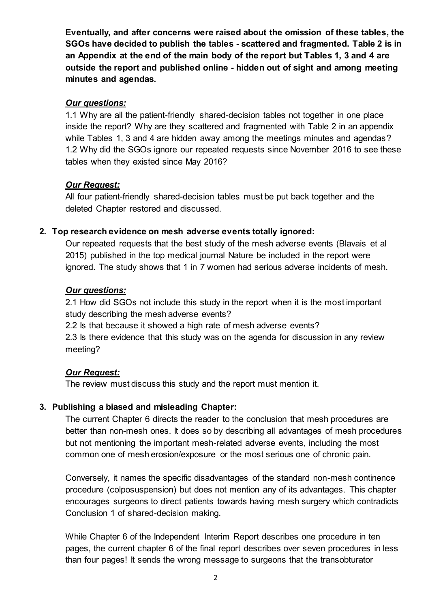**Eventually, and after concerns were raised about the omission of these tables, the SGOs have decided to publish the tables - scattered and fragmented. Table 2 is in an Appendix at the end of the main body of the report but Tables 1, 3 and 4 are outside the report and published online - hidden out of sight and among meeting minutes and agendas.** 

#### *Our questions:*

1.1 Why are all the patient-friendly shared-decision tables not together in one place inside the report? Why are they scattered and fragmented with Table 2 in an appendix while Tables 1, 3 and 4 are hidden away among the meetings minutes and agendas? 1.2 Why did the SGOs ignore our repeated requests since November 2016 to see these tables when they existed since May 2016?

### *Our Request:*

All four patient-friendly shared-decision tables must be put back together and the deleted Chapter restored and discussed.

### **2. Top research evidence on mesh adverse events totally ignored:**

Our repeated requests that the best study of the mesh adverse events (Blavais et al 2015) published in the top medical journal Nature be included in the report were ignored. The study shows that 1 in 7 women had serious adverse incidents of mesh.

#### *Our questions:*

2.1 How did SGOs not include this study in the report when it is the most important study describing the mesh adverse events?

2.2 Is that because it showed a high rate of mesh adverse events?

2.3 Is there evidence that this study was on the agenda for discussion in any review meeting?

### *Our Request:*

The review must discuss this study and the report must mention it.

### **3. Publishing a biased and misleading Chapter:**

The current Chapter 6 directs the reader to the conclusion that mesh procedures are better than non-mesh ones. It does so by describing all advantages of mesh procedures but not mentioning the important mesh-related adverse events, including the most common one of mesh erosion/exposure or the most serious one of chronic pain.

Conversely, it names the specific disadvantages of the standard non-mesh continence procedure (colposuspension) but does not mention any of its advantages. This chapter encourages surgeons to direct patients towards having mesh surgery which contradicts Conclusion 1 of shared-decision making.

While Chapter 6 of the Independent Interim Report describes one procedure in ten pages, the current chapter 6 of the final report describes over seven procedures in less than four pages! It sends the wrong message to surgeons that the transobturator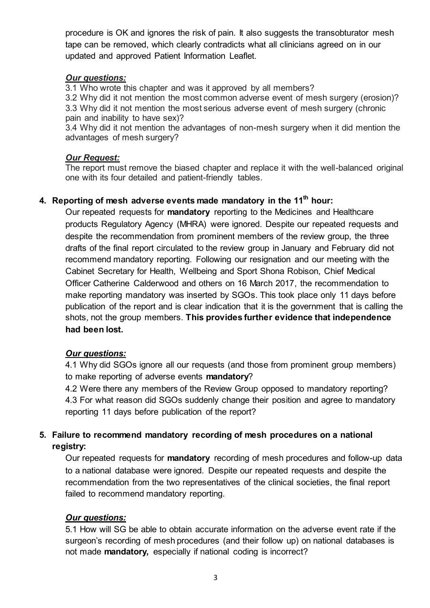procedure is OK and ignores the risk of pain. It also suggests the transobturator mesh tape can be removed, which clearly contradicts what all clinicians agreed on in our updated and approved Patient Information Leaflet.

#### *Our questions:*

3.1 Who wrote this chapter and was it approved by all members?

3.2 Why did it not mention the most common adverse event of mesh surgery (erosion)? 3.3 Why did it not mention the most serious adverse event of mesh surgery (chronic pain and inability to have sex)?

3.4 Why did it not mention the advantages of non-mesh surgery when it did mention the advantages of mesh surgery?

### *Our Request:*

The report must remove the biased chapter and replace it with the well-balanced original one with its four detailed and patient-friendly tables.

# **4. Reporting of mesh adverse events made mandatory in the 11th hour:**

Our repeated requests for **mandatory** reporting to the Medicines and Healthcare products Regulatory Agency (MHRA) were ignored. Despite our repeated requests and despite the recommendation from prominent members of the review group, the three drafts of the final report circulated to the review group in January and February did not recommend mandatory reporting. Following our resignation and our meeting with the Cabinet Secretary for Health, Wellbeing and Sport Shona Robison, Chief Medical Officer Catherine Calderwood and others on 16 March 2017, the recommendation to make reporting mandatory was inserted by SGOs. This took place only 11 days before publication of the report and is clear indication that it is the government that is calling the shots, not the group members. **This provides further evidence that independence had been lost.** 

### *Our questions:*

4.1 Why did SGOs ignore all our requests (and those from prominent group members) to make reporting of adverse events **mandatory**?

4.2 Were there any members of the Review Group opposed to mandatory reporting? 4.3 For what reason did SGOs suddenly change their position and agree to mandatory reporting 11 days before publication of the report?

## **5. Failure to recommend mandatory recording of mesh procedures on a national registry:**

Our repeated requests for **mandatory** recording of mesh procedures and follow-up data to a national database were ignored. Despite our repeated requests and despite the recommendation from the two representatives of the clinical societies, the final report failed to recommend mandatory reporting.

### *Our questions:*

5.1 How will SG be able to obtain accurate information on the adverse event rate if the surgeon's recording of mesh procedures (and their follow up) on national databases is not made **mandatory,** especially if national coding is incorrect?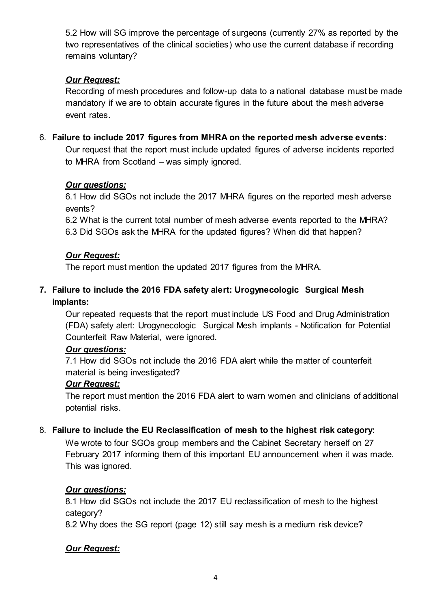5.2 How will SG improve the percentage of surgeons (currently 27% as reported by the two representatives of the clinical societies) who use the current database if recording remains voluntary?

## *Our Request:*

Recording of mesh procedures and follow-up data to a national database must be made mandatory if we are to obtain accurate figures in the future about the mesh adverse event rates.

## 6. **Failure to include 2017 figures from MHRA on the reported mesh adverse events:**

Our request that the report must include updated figures of adverse incidents reported to MHRA from Scotland – was simply ignored.

## *Our questions:*

6.1 How did SGOs not include the 2017 MHRA figures on the reported mesh adverse events?

6.2 What is the current total number of mesh adverse events reported to the MHRA? 6.3 Did SGOs ask the MHRA for the updated figures? When did that happen?

## *Our Request:*

The report must mention the updated 2017 figures from the MHRA.

## **7. Failure to include the 2016 FDA safety alert: Urogynecologic Surgical Mesh implants:**

Our repeated requests that the report must include US Food and Drug Administration (FDA) safety alert: Urogynecologic Surgical Mesh implants - Notification for Potential Counterfeit Raw Material, were ignored.

### *Our questions:*

7.1 How did SGOs not include the 2016 FDA alert while the matter of counterfeit material is being investigated?

### *Our Request:*

The report must mention the 2016 FDA alert to warn women and clinicians of additional potential risks.

## 8. **Failure to include the EU Reclassification of mesh to the highest risk category:**

We wrote to four SGOs group members and the Cabinet Secretary herself on 27 February 2017 informing them of this important EU announcement when it was made. This was ignored.

### *Our questions:*

8.1 How did SGOs not include the 2017 EU reclassification of mesh to the highest category?

8.2 Why does the SG report (page 12) still say mesh is a medium risk device?

### *Our Request:*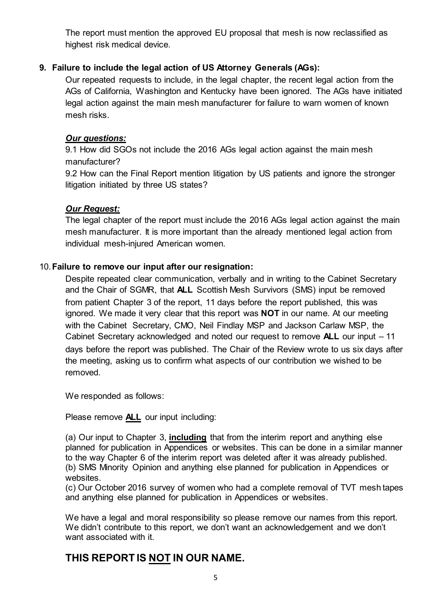The report must mention the approved EU proposal that mesh is now reclassified as highest risk medical device.

### **9. Failure to include the legal action of US Attorney Generals (AGs):**

Our repeated requests to include, in the legal chapter, the recent legal action from the AGs of California, Washington and Kentucky have been ignored. The AGs have initiated legal action against the main mesh manufacturer for failure to warn women of known mesh risks.

## *Our questions:*

9.1 How did SGOs not include the 2016 AGs legal action against the main mesh manufacturer?

9.2 How can the Final Report mention litigation by US patients and ignore the stronger litigation initiated by three US states?

### *Our Request:*

The legal chapter of the report must include the 2016 AGs legal action against the main mesh manufacturer. It is more important than the already mentioned legal action from individual mesh-injured American women.

#### 10.**Failure to remove our input after our resignation:**

Despite repeated clear communication, verbally and in writing to the Cabinet Secretary and the Chair of SGMR, that **ALL** Scottish Mesh Survivors (SMS) input be removed from patient Chapter 3 of the report, 11 days before the report published, this was ignored. We made it very clear that this report was **NOT** in our name. At our meeting with the Cabinet Secretary, CMO, Neil Findlay MSP and Jackson Carlaw MSP, the Cabinet Secretary acknowledged and noted our request to remove **ALL** our input – 11 days before the report was published. The Chair of the Review wrote to us six days after the meeting, asking us to confirm what aspects of our contribution we wished to be removed.

We responded as follows:

Please remove **ALL** our input including:

(a) Our input to Chapter 3, **including** that from the interim report and anything else planned for publication in Appendices or websites. This can be done in a similar manner to the way Chapter 6 of the interim report was deleted after it was already published. (b) SMS Minority Opinion and anything else planned for publication in Appendices or websites.

(c) Our October 2016 survey of women who had a complete removal of TVT mesh tapes and anything else planned for publication in Appendices or websites.

We have a legal and moral responsibility so please remove our names from this report. We didn't contribute to this report, we don't want an acknowledgement and we don't want associated with it.

# **THIS REPORT IS NOT IN OUR NAME.**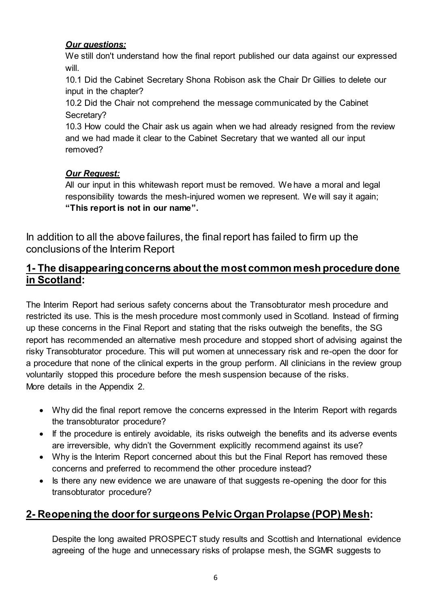### *Our questions:*

We still don't understand how the final report published our data against our expressed will.

10.1 Did the Cabinet Secretary Shona Robison ask the Chair Dr Gillies to delete our input in the chapter?

10.2 Did the Chair not comprehend the message communicated by the Cabinet Secretary?

10.3 How could the Chair ask us again when we had already resigned from the review and we had made it clear to the Cabinet Secretary that we wanted all our input removed?

## *Our Request:*

All our input in this whitewash report must be removed. We have a moral and legal responsibility towards the mesh-injured women we represent. We will say it again; **"This report is not in our name".**

In addition to all the above failures, the final report has failed to firm up the conclusions of the Interim Report

# **1- The disappearing concerns about the most common mesh procedure done in Scotland:**

The Interim Report had serious safety concerns about the Transobturator mesh procedure and restricted its use. This is the mesh procedure most commonly used in Scotland. Instead of firming up these concerns in the Final Report and stating that the risks outweigh the benefits, the SG report has recommended an alternative mesh procedure and stopped short of advising against the risky Transobturator procedure. This will put women at unnecessary risk and re-open the door for a procedure that none of the clinical experts in the group perform. All clinicians in the review group voluntarily stopped this procedure before the mesh suspension because of the risks. More details in the Appendix 2.

- Why did the final report remove the concerns expressed in the Interim Report with regards the transobturator procedure?
- If the procedure is entirely avoidable, its risks outweigh the benefits and its adverse events are irreversible, why didn't the Government explicitly recommend against its use?
- Why is the Interim Report concerned about this but the Final Report has removed these concerns and preferred to recommend the other procedure instead?
- Is there any new evidence we are unaware of that suggests re-opening the door for this transobturator procedure?

# **2- Reopening the door for surgeons Pelvic Organ Prolapse (POP) Mesh:**

Despite the long awaited PROSPECT study results and Scottish and International evidence agreeing of the huge and unnecessary risks of prolapse mesh, the SGMR suggests to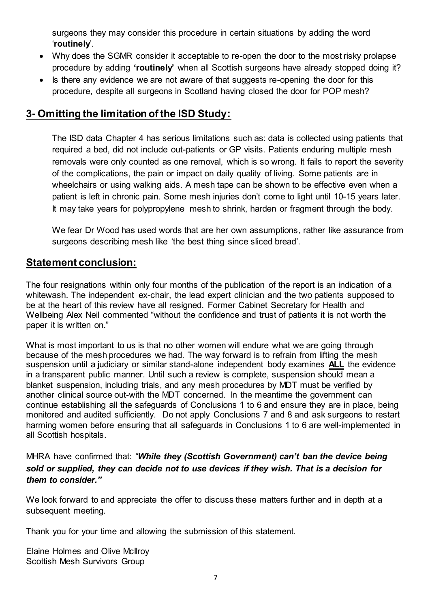surgeons they may consider this procedure in certain situations by adding the word '**routinely**'.

- Why does the SGMR consider it acceptable to re-open the door to the most risky prolapse procedure by adding **'routinely'** when all Scottish surgeons have already stopped doing it?
- Is there any evidence we are not aware of that suggests re-opening the door for this procedure, despite all surgeons in Scotland having closed the door for POP mesh?

# **3- Omitting the limitation of the ISD Study:**

The ISD data Chapter 4 has serious limitations such as: data is collected using patients that required a bed, did not include out-patients or GP visits. Patients enduring multiple mesh removals were only counted as one removal, which is so wrong. It fails to report the severity of the complications, the pain or impact on daily quality of living. Some patients are in wheelchairs or using walking aids. A mesh tape can be shown to be effective even when a patient is left in chronic pain. Some mesh injuries don't come to light until 10-15 years later. It may take years for polypropylene mesh to shrink, harden or fragment through the body.

We fear Dr Wood has used words that are her own assumptions, rather like assurance from surgeons describing mesh like 'the best thing since sliced bread'.

## **Statement conclusion:**

The four resignations within only four months of the publication of the report is an indication of a whitewash. The independent ex-chair, the lead expert clinician and the two patients supposed to be at the heart of this review have all resigned. Former Cabinet Secretary for Health and Wellbeing Alex Neil commented "without the confidence and trust of patients it is not worth the paper it is written on."

What is most important to us is that no other women will endure what we are going through because of the mesh procedures we had. The way forward is to refrain from lifting the mesh suspension until a judiciary or similar stand-alone independent body examines **ALL** the evidence in a transparent public manner. Until such a review is complete, suspension should mean a blanket suspension, including trials, and any mesh procedures by MDT must be verified by another clinical source out-with the MDT concerned. In the meantime the government can continue establishing all the safeguards of Conclusions 1 to 6 and ensure they are in place, being monitored and audited sufficiently. Do not apply Conclusions 7 and 8 and ask surgeons to restart harming women before ensuring that all safeguards in Conclusions 1 to 6 are well-implemented in all Scottish hospitals.

MHRA have confirmed that: *"While they (Scottish Government) can't ban the device being sold or supplied, they can decide not to use devices if they wish. That is a decision for them to consider."*

We look forward to and appreciate the offer to discuss these matters further and in depth at a subsequent meeting.

Thank you for your time and allowing the submission of this statement.

Elaine Holmes and Olive McIlroy Scottish Mesh Survivors Group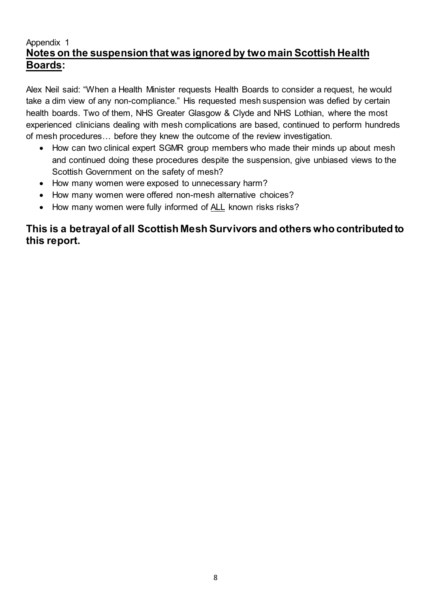## Appendix 1 **Notes on the suspension that was ignored by two main Scottish Health Boards:**

Alex Neil said: "When a Health Minister requests Health Boards to consider a request, he would take a dim view of any non-compliance." His requested mesh suspension was defied by certain health boards. Two of them, NHS Greater Glasgow & Clyde and NHS Lothian, where the most experienced clinicians dealing with mesh complications are based, continued to perform hundreds of mesh procedures… before they knew the outcome of the review investigation.

- How can two clinical expert SGMR group members who made their minds up about mesh and continued doing these procedures despite the suspension, give unbiased views to the Scottish Government on the safety of mesh?
- How many women were exposed to unnecessary harm?
- How many women were offered non-mesh alternative choices?
- How many women were fully informed of ALL known risks risks?

## **This is a betrayal of all Scottish Mesh Survivors and others who contributed to this report.**